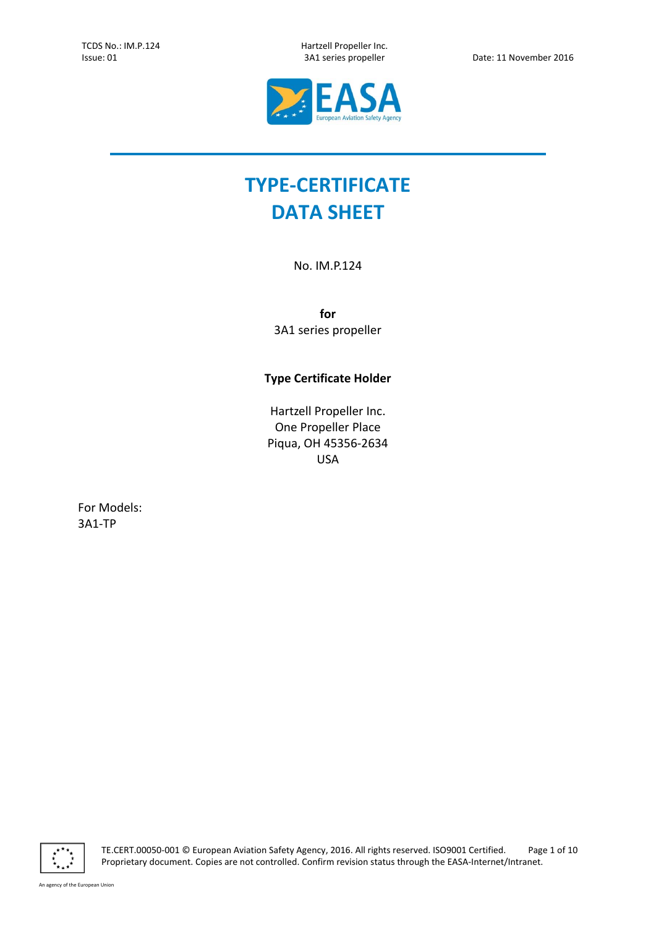TCDS No.: IM.P.124 Hartzell Propeller Inc.<br>
Issue: 01 3A1 series propeller



# **TYPE‐CERTIFICATE DATA SHEET**

No. IM.P.124

**for** 3A1 series propeller

## **Type Certificate Holder**

Hartzell Propeller Inc. One Propeller Place Piqua, OH 45356‐2634 USA

For Models: 3A1‐TP



TE.CERT.00050‐001 © European Aviation Safety Agency, 2016. All rights reserved. ISO9001 Certified. Page 1 of 10 Proprietary document. Copies are not controlled. Confirm revision status through the EASA‐Internet/Intranet.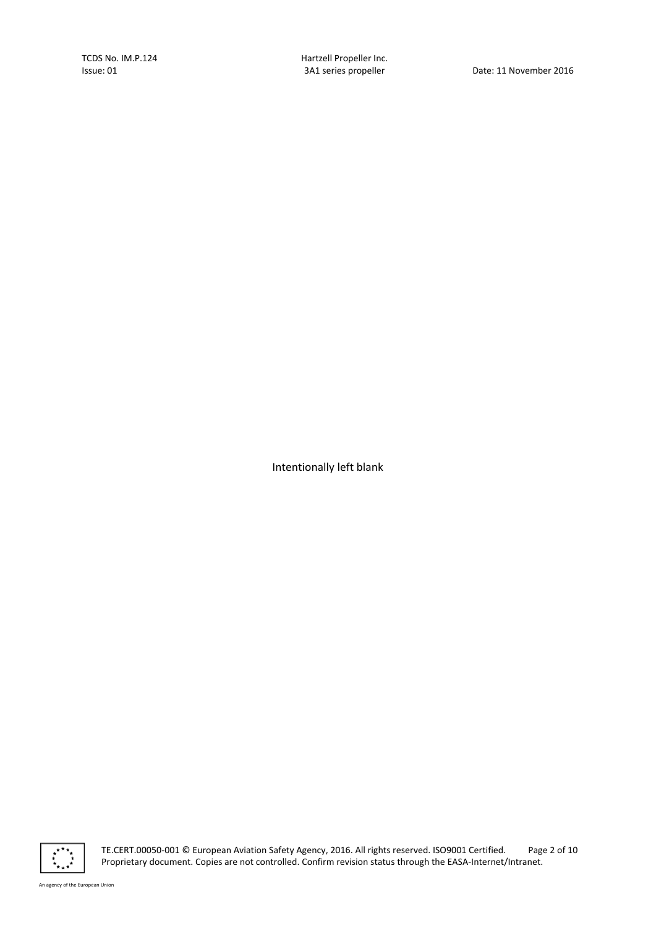Intentionally left blank



TE.CERT.00050‐001 © European Aviation Safety Agency, 2016. All rights reserved. ISO9001 Certified. Page 2 of 10 Proprietary document. Copies are not controlled. Confirm revision status through the EASA-Internet/Intranet.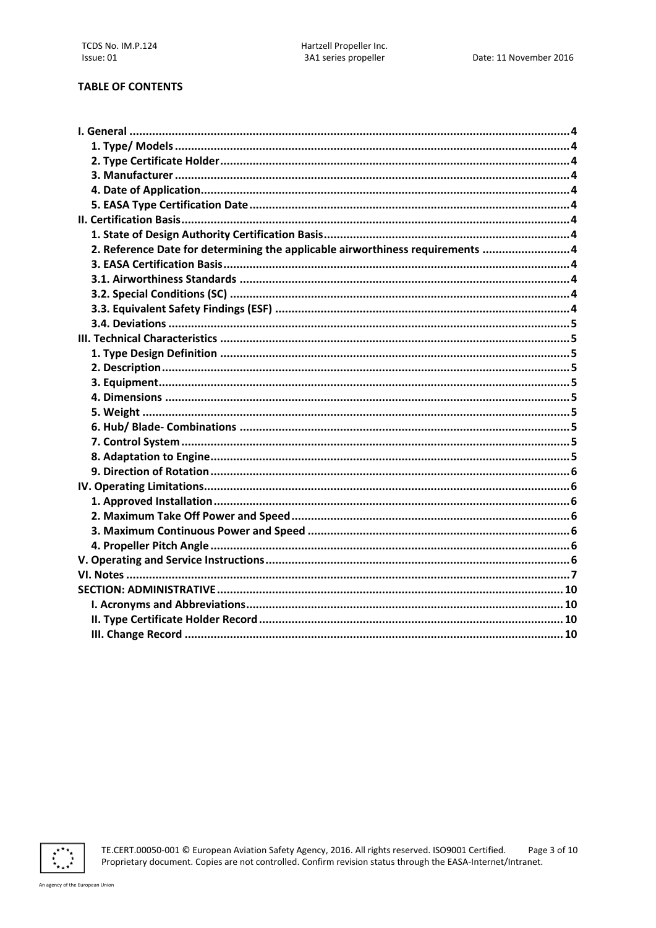## **TABLE OF CONTENTS**

| 2. Reference Date for determining the applicable airworthiness requirements  4 |
|--------------------------------------------------------------------------------|
|                                                                                |
|                                                                                |
|                                                                                |
|                                                                                |
|                                                                                |
|                                                                                |
|                                                                                |
|                                                                                |
|                                                                                |
|                                                                                |
|                                                                                |
|                                                                                |
|                                                                                |
|                                                                                |
|                                                                                |
|                                                                                |
|                                                                                |
|                                                                                |
|                                                                                |
|                                                                                |
|                                                                                |
|                                                                                |
|                                                                                |
|                                                                                |
|                                                                                |
|                                                                                |
|                                                                                |

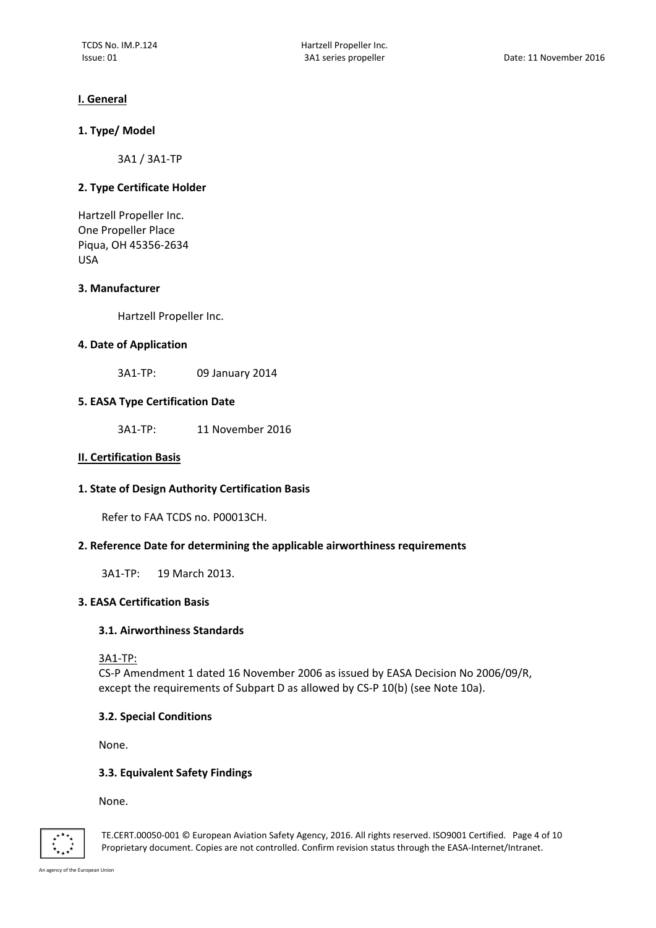## **I. General**

## **1. Type/ Model**

3A1 / 3A1‐TP

## **2. Type Certificate Holder**

Hartzell Propeller Inc. One Propeller Place Piqua, OH 45356‐2634 USA

## **3. Manufacturer**

Hartzell Propeller Inc.

## **4. Date of Application**

3A1‐TP: 09 January 2014

## **5. EASA Type Certification Date**

3A1‐TP: 11 November 2016

#### **II. Certification Basis**

## **1. State of Design Authority Certification Basis**

Refer to FAA TCDS no. P00013CH.

## **2. Reference Date for determining the applicable airworthiness requirements**

3A1‐TP: 19 March 2013.

## **3. EASA Certification Basis**

## **3.1. Airworthiness Standards**

3A1‐TP:

CS‐P Amendment 1 dated 16 November 2006 as issued by EASA Decision No 2006/09/R, except the requirements of Subpart D as allowed by CS‐P 10(b) (see Note 10a).

#### **3.2. Special Conditions**

None.

#### **3.3. Equivalent Safety Findings**

None.



TE.CERT.00050‐001 © European Aviation Safety Agency, 2016. All rights reserved. ISO9001 Certified. Page 4 of 10 Proprietary document. Copies are not controlled. Confirm revision status through the EASA‐Internet/Intranet.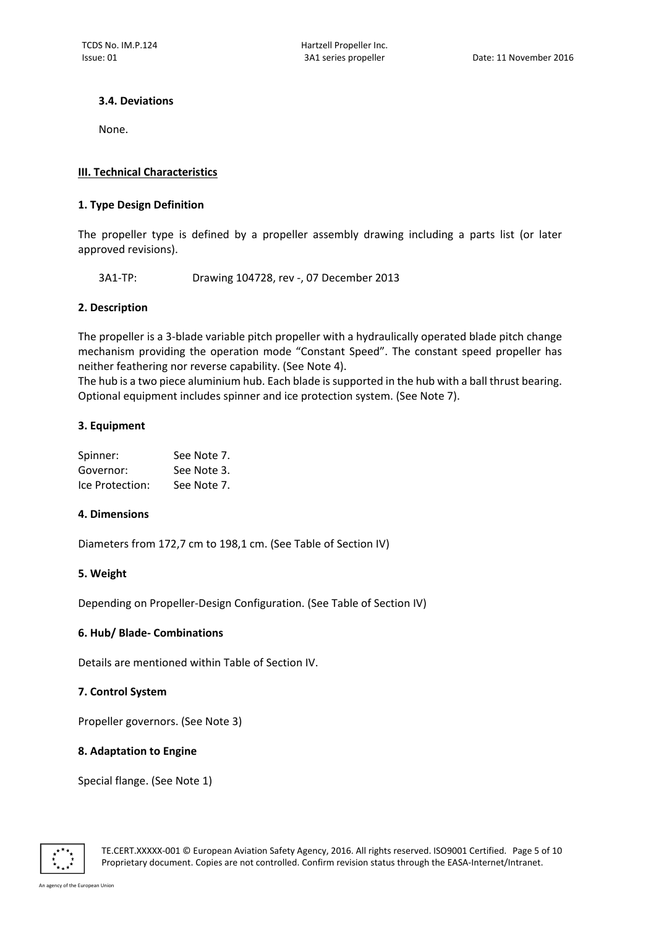### **3.4. Deviations**

None.

## **III. Technical Characteristics**

#### **1. Type Design Definition**

The propeller type is defined by a propeller assembly drawing including a parts list (or later approved revisions).

3A1‐TP: Drawing 104728, rev ‐, 07 December 2013

#### **2. Description**

The propeller is a 3‐blade variable pitch propeller with a hydraulically operated blade pitch change mechanism providing the operation mode "Constant Speed". The constant speed propeller has neither feathering nor reverse capability. (See Note 4).

The hub is a two piece aluminium hub. Each blade is supported in the hub with a ball thrust bearing. Optional equipment includes spinner and ice protection system. (See Note 7).

#### **3. Equipment**

| Spinner:        | See Note 7. |
|-----------------|-------------|
| Governor:       | See Note 3. |
| Ice Protection: | See Note 7. |

#### **4. Dimensions**

Diameters from 172,7 cm to 198,1 cm. (See Table of Section IV)

## **5. Weight**

Depending on Propeller‐Design Configuration. (See Table of Section IV)

#### **6. Hub/ Blade‐ Combinations**

Details are mentioned within Table of Section IV.

## **7. Control System**

Propeller governors. (See Note 3)

## **8. Adaptation to Engine**

Special flange. (See Note 1)



TE.CERT.XXXXX‐001 © European Aviation Safety Agency, 2016. All rights reserved. ISO9001 Certified. Page 5 of 10 Proprietary document. Copies are not controlled. Confirm revision status through the EASA‐Internet/Intranet.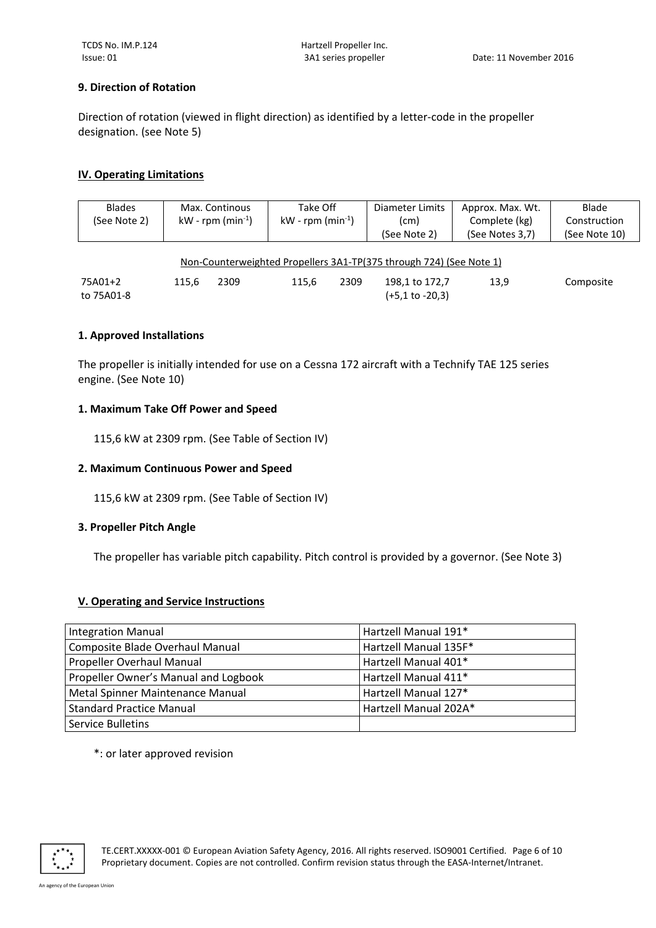## **9. Direction of Rotation**

Direction of rotation (viewed in flight direction) as identified by a letter‐code in the propeller designation. (see Note 5)

## **IV. Operating Limitations**

| <b>Blades</b>                                                       |       | Max. Continous                  | Take Off                        |      | Diameter Limits                              | Approx. Max. Wt. | Blade         |
|---------------------------------------------------------------------|-------|---------------------------------|---------------------------------|------|----------------------------------------------|------------------|---------------|
| (See Note 2)                                                        |       | $kW$ - rpm (min <sup>-1</sup> ) | $kW$ - rpm (min <sup>-1</sup> ) |      | (cm)                                         | Complete (kg)    | Construction  |
|                                                                     |       |                                 |                                 |      | (See Note 2)                                 | (See Notes 3,7)  | (See Note 10) |
| Non-Counterweighted Propellers 3A1-TP(375 through 724) (See Note 1) |       |                                 |                                 |      |                                              |                  |               |
| 75A01+2<br>to 75A01-8                                               | 115,6 | 2309                            | 115,6                           | 2309 | 198,1 to 172,7<br>$(+5.1 \text{ to } -20.3)$ | 13,9             | Composite     |

## **1. Approved Installations**

The propeller is initially intended for use on a Cessna 172 aircraft with a Technify TAE 125 series engine. (See Note 10)

#### **1. Maximum Take Off Power and Speed**

115,6 kW at 2309 rpm. (See Table of Section IV)

#### **2. Maximum Continuous Power and Speed**

115,6 kW at 2309 rpm. (See Table of Section IV)

## **3. Propeller Pitch Angle**

The propeller has variable pitch capability. Pitch control is provided by a governor. (See Note 3)

## **V. Operating and Service Instructions**

| <b>Integration Manual</b>            | Hartzell Manual 191*  |
|--------------------------------------|-----------------------|
| Composite Blade Overhaul Manual      | Hartzell Manual 135F* |
| Propeller Overhaul Manual            | Hartzell Manual 401*  |
| Propeller Owner's Manual and Logbook | Hartzell Manual 411*  |
| Metal Spinner Maintenance Manual     | Hartzell Manual 127*  |
| <b>Standard Practice Manual</b>      | Hartzell Manual 202A* |
| Service Bulletins                    |                       |

\*: or later approved revision



TE.CERT.XXXXX‐001 © European Aviation Safety Agency, 2016. All rights reserved. ISO9001 Certified. Page 6 of 10 Proprietary document. Copies are not controlled. Confirm revision status through the EASA‐Internet/Intranet.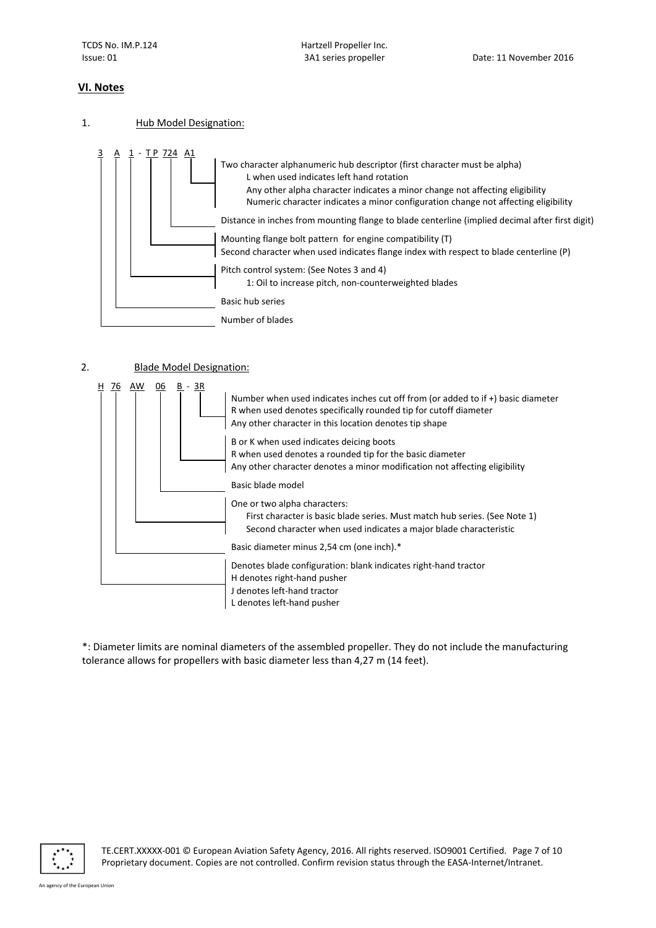#### **VI. Notes**

#### 1. Hub Model Designation:



#### 2. Blade Model Designation:



\*: Diameter limits are nominal diameters of the assembled propeller. They do not include the manufacturing tolerance allows for propellers with basic diameter less than 4,27 m (14 feet).



TE.CERT.XXXXX‐001 © European Aviation Safety Agency, 2016. All rights reserved. ISO9001 Certified. Page 7 of 10 Proprietary document. Copies are not controlled. Confirm revision status through the EASA‐Internet/Intranet.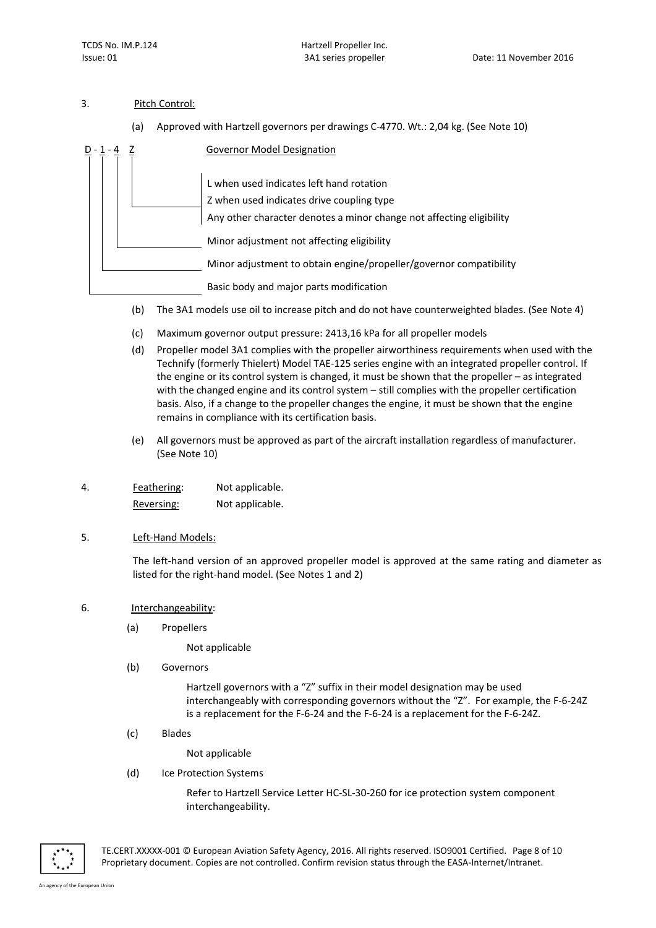- 3. Pitch Control:
	- (a) Approved with Hartzell governors per drawings C‐4770. Wt.: 2,04 kg. (See Note 10)



- (b) The 3A1 models use oil to increase pitch and do not have counterweighted blades. (See Note 4)
- (c) Maximum governor output pressure: 2413,16 kPa for all propeller models
- (d) Propeller model 3A1 complies with the propeller airworthiness requirements when used with the Technify (formerly Thielert) Model TAE‐125 series engine with an integrated propeller control. If the engine or its control system is changed, it must be shown that the propeller – as integrated with the changed engine and its control system – still complies with the propeller certification basis. Also, if a change to the propeller changes the engine, it must be shown that the engine remains in compliance with its certification basis.
- (e) All governors must be approved as part of the aircraft installation regardless of manufacturer. (See Note 10)
- 4. Feathering: Not applicable. Reversing: Not applicable.
- 5. Left‐Hand Models:

The left-hand version of an approved propeller model is approved at the same rating and diameter as listed for the right‐hand model. (See Notes 1 and 2)

- 6. Interchangeability:
	- (a) Propellers

Not applicable

(b) Governors

 Hartzell governors with a "Z" suffix in their model designation may be used interchangeably with corresponding governors without the "Z". For example, the F-6-24Z is a replacement for the F‐6‐24 and the F‐6‐24 is a replacement for the F‐6‐24Z.

(c) Blades

Not applicable

(d) Ice Protection Systems

 Refer to Hartzell Service Letter HC‐SL‐30‐260 for ice protection system component interchangeability.



TE.CERT.XXXXX‐001 © European Aviation Safety Agency, 2016. All rights reserved. ISO9001 Certified. Page 8 of 10 Proprietary document. Copies are not controlled. Confirm revision status through the EASA‐Internet/Intranet.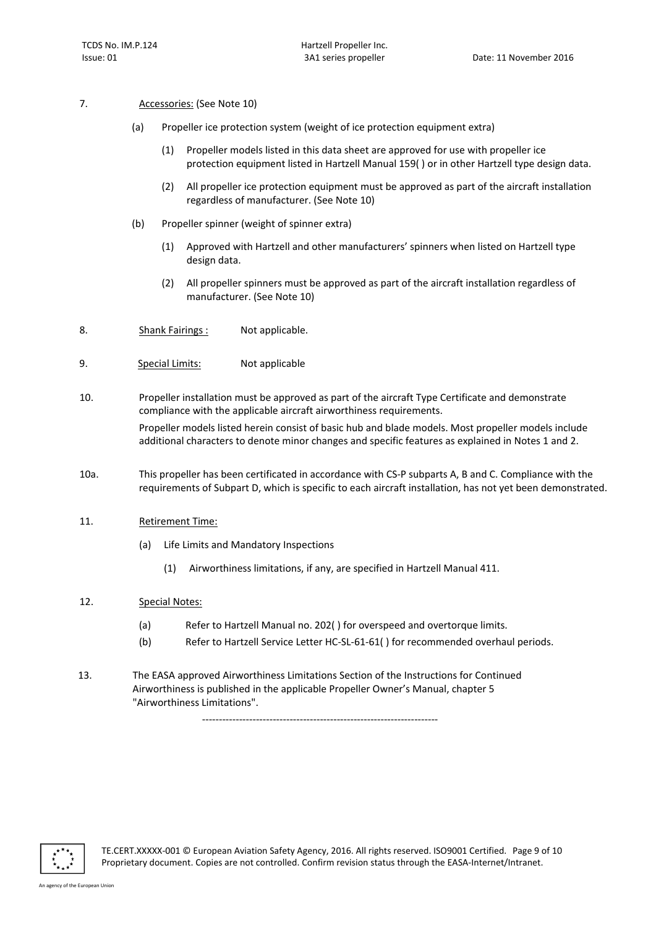#### 7. Accessories: (See Note 10)

- (a) Propeller ice protection system (weight of ice protection equipment extra)
	- (1) Propeller models listed in this data sheet are approved for use with propeller ice protection equipment listed in Hartzell Manual 159( ) or in other Hartzell type design data.
	- (2) All propeller ice protection equipment must be approved as part of the aircraft installation regardless of manufacturer. (See Note 10)
- (b) Propeller spinner (weight of spinner extra)
	- (1) Approved with Hartzell and other manufacturers' spinners when listed on Hartzell type design data.
	- (2) All propeller spinners must be approved as part of the aircraft installation regardless of manufacturer. (See Note 10)
- 8. Shank Fairings : Not applicable.
- 9. Special Limits: Not applicable
- 10. Propeller installation must be approved as part of the aircraft Type Certificate and demonstrate compliance with the applicable aircraft airworthiness requirements. Propeller models listed herein consist of basic hub and blade models. Most propeller models include additional characters to denote minor changes and specific features as explained in Notes 1 and 2.
- 10a. This propeller has been certificated in accordance with CS‐P subparts A, B and C. Compliance with the requirements of Subpart D, which is specific to each aircraft installation, has not yet been demonstrated.
- 11. Retirement Time:
	- (a) Life Limits and Mandatory Inspections
		- (1) Airworthiness limitations, if any, are specified in Hartzell Manual 411.

#### 12. Special Notes:

- (a) Refer to Hartzell Manual no. 202( ) for overspeed and overtorque limits.
- (b) Refer to Hartzell Service Letter HC‐SL‐61‐61( ) for recommended overhaul periods.
- 13. The EASA approved Airworthiness Limitations Section of the Instructions for Continued Airworthiness is published in the applicable Propeller Owner's Manual, chapter 5 "Airworthiness Limitations".

‐‐‐‐‐‐‐‐‐‐‐‐‐‐‐‐‐‐‐‐‐‐‐‐‐‐‐‐‐‐‐‐‐‐‐‐‐‐‐‐‐‐‐‐‐‐‐‐‐‐‐‐‐‐‐‐‐‐‐‐‐‐‐‐‐‐‐‐‐‐



TE.CERT.XXXXX‐001 © European Aviation Safety Agency, 2016. All rights reserved. ISO9001 Certified. Page 9 of 10 Proprietary document. Copies are not controlled. Confirm revision status through the EASA‐Internet/Intranet.